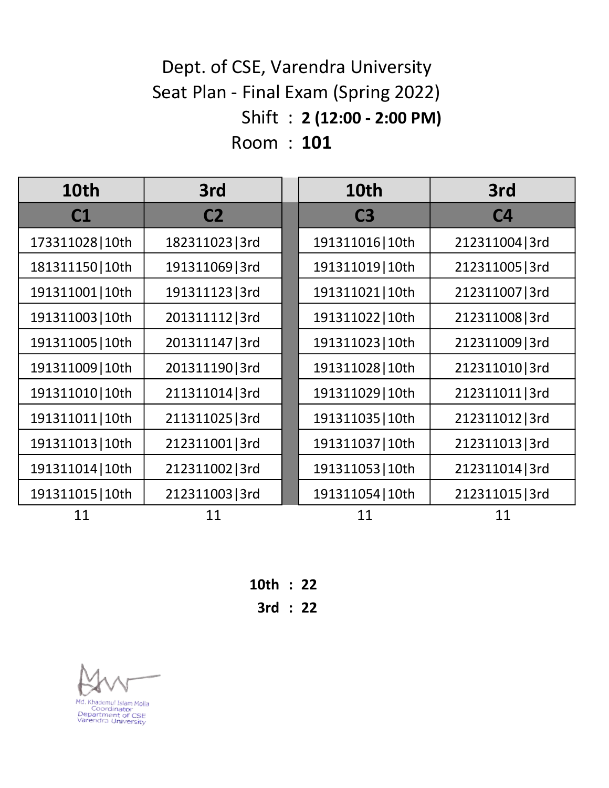#### Shift : 2 (12:00 - 2:00 PM) Room : 101 Dept. of CSE, Varendra University Seat Plan - Final Exam (Spring 2022)

| 10th             | 3rd             | 10th             | 3rd            |
|------------------|-----------------|------------------|----------------|
| C1               | C <sub>2</sub>  | C <sub>3</sub>   | C <sub>4</sub> |
| 173311028   10th | 182311023 3rd   | 191311016   10th | 212311004 3rd  |
| 181311150   10th | 191311069 3rd   | 191311019   10th | 212311005 3rd  |
| 191311001   10th | 191311123 3rd   | 191311021   10th | 212311007 3rd  |
| 191311003   10th | 201311112 3rd   | 191311022   10th | 212311008 3rd  |
| 191311005   10th | 201311147   3rd | 191311023   10th | 212311009 3rd  |
| 191311009   10th | 201311190 3rd   | 191311028 10th   | 212311010 3rd  |
| 191311010 10th   | 211311014 3rd   | 191311029   10th | 212311011 3rd  |
| 191311011   10th | 211311025 3rd   | 191311035   10th | 212311012 3rd  |
| 191311013   10th | 212311001 3rd   | 191311037   10th | 212311013 3rd  |
| 191311014   10th | 212311002 3rd   | 191311053   10th | 212311014 3rd  |
| 191311015   10th | 212311003 3rd   | 191311054   10th | 212311015 3rd  |
| 11               | 11              | 11               | 11             |

10th : 22 3rd : 22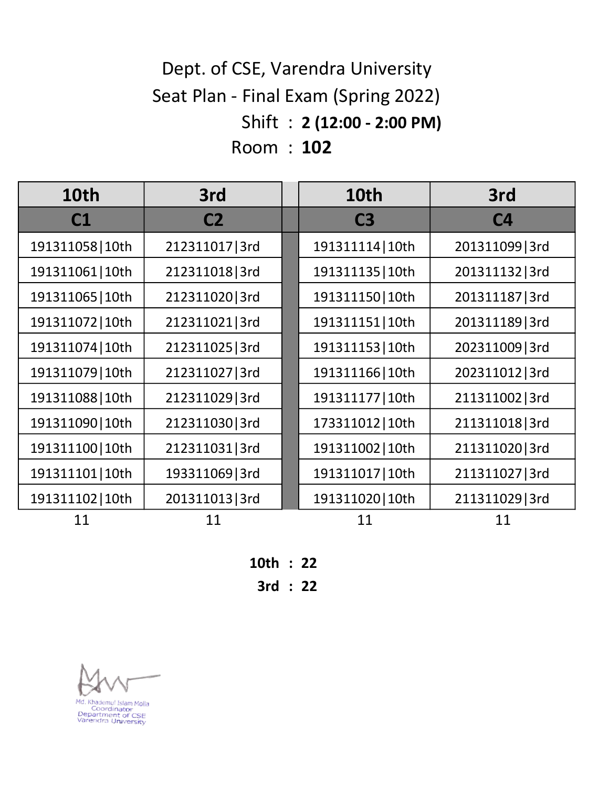# Shift : 2 (12:00 - 2:00 PM) Room : 102 Dept. of CSE, Varendra University Seat Plan - Final Exam (Spring 2022)

| 10th             | 3rd            | 10th             | 3rd             |
|------------------|----------------|------------------|-----------------|
| C1               | C <sub>2</sub> | C <sub>3</sub>   | C <sub>4</sub>  |
| 191311058   10th | 212311017 3rd  | 191311114   10th | 201311099 3rd   |
| 191311061   10th | 212311018 3rd  | 191311135   10th | 201311132 3rd   |
| 191311065   10th | 212311020 3rd  | 191311150   10th | 201311187 3rd   |
| 191311072   10th | 212311021 3rd  | 191311151   10th | 201311189 3rd   |
| 191311074   10th | 212311025 3rd  | 191311153   10th | 202311009 3rd   |
| 191311079   10th | 212311027 3rd  | 191311166   10th | 202311012 3rd   |
| 191311088   10th | 212311029 3rd  | 191311177   10th | 211311002   3rd |
| 191311090   10th | 212311030 3rd  | 173311012   10th | 211311018 3rd   |
| 191311100 10th   | 212311031 3rd  | 191311002   10th | 211311020 3rd   |
| 191311101   10th | 193311069 3rd  | 191311017   10th | 211311027 3rd   |
| 191311102   10th | 201311013 3rd  | 191311020   10th | 211311029 3rd   |
| 11               | 11             | 11               | 11              |

10th : 22

3rd : 22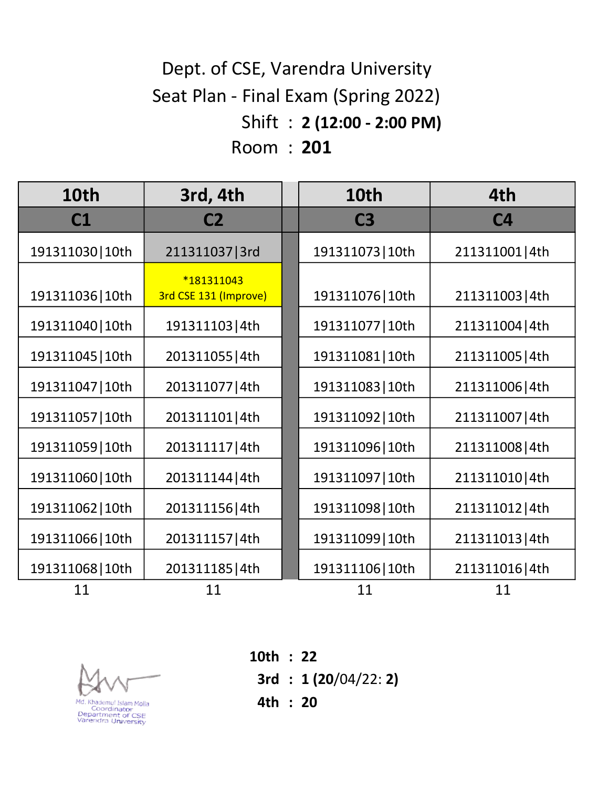# Shift : 2 (12:00 - 2:00 PM) Room : 201 Dept. of CSE, Varendra University Seat Plan - Final Exam (Spring 2022)

| 10th             | 3rd, 4th                            | 10th             | 4th             |
|------------------|-------------------------------------|------------------|-----------------|
| C1               | C <sub>2</sub>                      | C <sub>3</sub>   | C <sub>4</sub>  |
| 191311030 10th   | 211311037   3rd                     | 191311073   10th | 211311001 4th   |
| 191311036   10th | *181311043<br>3rd CSE 131 (Improve) | 191311076   10th | 211311003   4th |
| 191311040   10th | 191311103 4th                       | 191311077   10th | 211311004 4th   |
| 191311045   10th | 201311055   4th                     | 191311081   10th | 211311005   4th |
| 191311047   10th | 201311077   4th                     | 191311083   10th | 211311006 4th   |
| 191311057   10th | 201311101 4th                       | 191311092   10th | 211311007 4th   |
| 191311059   10th | 201311117 4th                       | 191311096 10th   | 211311008 4th   |
| 191311060   10th | 201311144 4th                       | 191311097   10th | 211311010 4th   |
| 191311062   10th | 201311156 4th                       | 191311098   10th | 211311012 4th   |
| 191311066   10th | 201311157 4th                       | 191311099   10th | 211311013 4th   |
| 191311068   10th | 201311185 4th                       | 191311106 10th   | 211311016 4th   |
| 11               | 11                                  | 11               | 11              |



10th : 22 3rd : 1 (20/04/22: 2) 4th : 20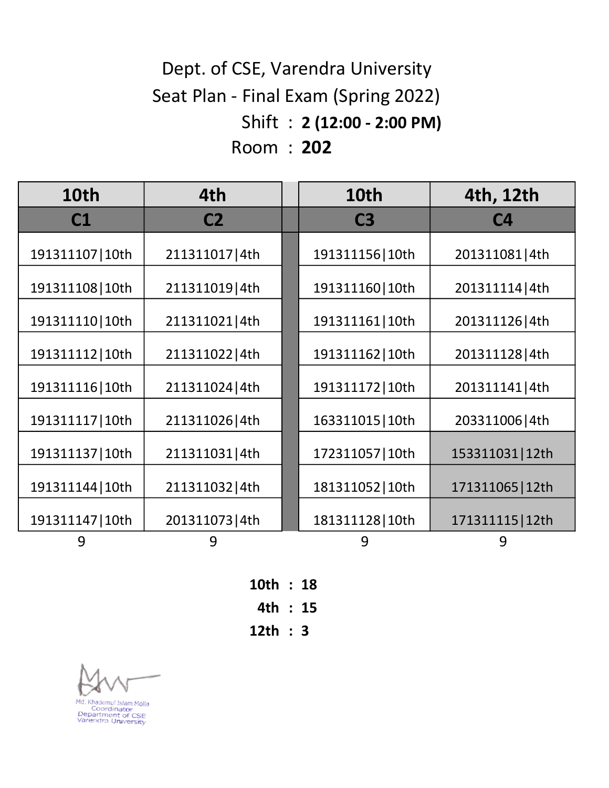# Shift : 2 (12:00 - 2:00 PM) Room : 202 Dept. of CSE, Varendra University Seat Plan - Final Exam (Spring 2022)

| 10th             | 4th            | 10th             | 4th, 12th        |
|------------------|----------------|------------------|------------------|
| C1               | C <sub>2</sub> | C <sub>3</sub>   | <b>C4</b>        |
| 191311107   10th | 211311017 4th  | 191311156 10th   | 201311081 4th    |
| 191311108 10th   | 211311019 4th  | 191311160 10th   | 201311114 4th    |
| 191311110 10th   | 211311021 4th  | 191311161   10th | 201311126 4th    |
| 191311112   10th | 211311022 4th  | 191311162   10th | 201311128 4th    |
| 191311116 10th   | 211311024 4th  | 191311172   10th | 201311141 4th    |
| 191311117   10th | 211311026 4th  | 163311015   10th | 203311006 4th    |
| 191311137   10th | 211311031 4th  | 172311057   10th | 153311031   12th |
| 191311144   10th | 211311032 4th  | 181311052   10th | 171311065   12th |
| 191311147   10th | 201311073 4th  | 181311128 10th   | 171311115 12th   |
| 9                | 9              | 9                | 9                |

10th : 18 4th : 15 12th : 3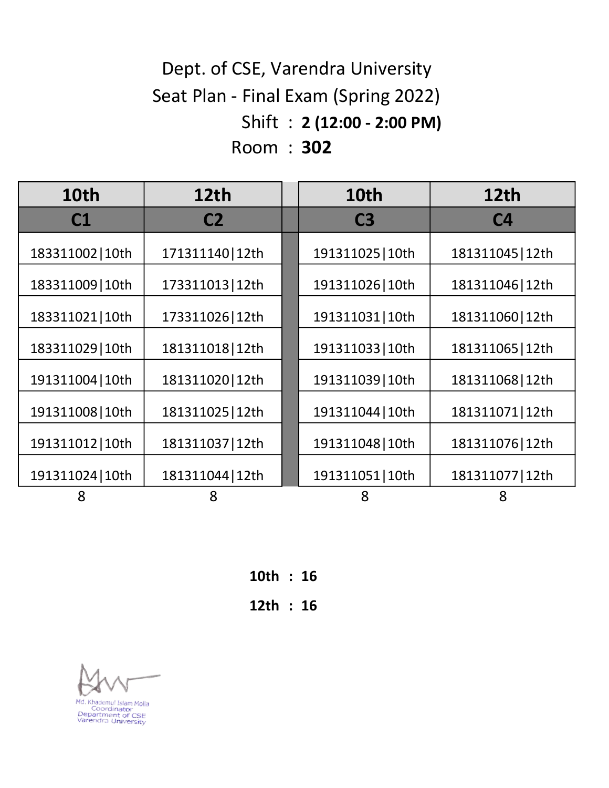## Shift : 2 (12:00 - 2:00 PM) Room : 302 Seat Plan - Final Exam (Spring 2022) Dept. of CSE, Varendra University

| 10th             | 12 <sub>th</sub> | 10th             | 12th             |
|------------------|------------------|------------------|------------------|
| C1               | C <sub>2</sub>   | C <sub>3</sub>   | C <sub>4</sub>   |
| 183311002   10th | 171311140   12th | 191311025   10th | 181311045   12th |
| 183311009   10th | 173311013   12th | 191311026   10th | 181311046   12th |
| 183311021   10th | 173311026 12th   | 191311031   10th | 181311060   12th |
| 183311029   10th | 181311018 12th   | 191311033   10th | 181311065   12th |
| 191311004   10th | 181311020 12th   | 191311039   10th | 181311068   12th |
| 191311008   10th | 181311025   12th | 191311044   10th | 181311071   12th |
| 191311012   10th | 181311037   12th | 191311048   10th | 181311076   12th |
| 191311024   10th | 181311044   12th | 191311051   10th | 181311077   12th |
| 8                | 8                | 8                | 8                |

10th : 16 12th : 16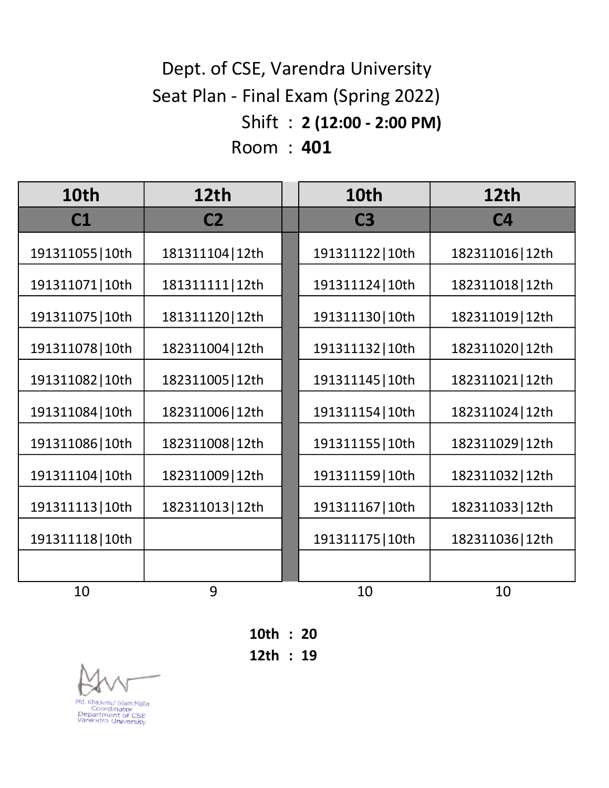## Shift : 2 (12:00 - 2:00 PM) Room : 401 Dept. of CSE, Varendra University Seat Plan - Final Exam (Spring 2022)

| 10th             | 12 <sub>th</sub> | 10th             | 12th             |
|------------------|------------------|------------------|------------------|
| C1               | C <sub>2</sub>   | C <sub>3</sub>   | C <sub>4</sub>   |
| 191311055   10th | 181311104   12th | 191311122   10th | 182311016   12th |
| 191311071   10th | 181311111   12th | 191311124   10th | 182311018   12th |
| 191311075   10th | 181311120 12th   | 191311130   10th | 182311019   12th |
| 191311078 10th   | 182311004   12th | 191311132   10th | 182311020   12th |
| 191311082   10th | 182311005   12th | 191311145   10th | 182311021   12th |
| 191311084   10th | 182311006   12th | 191311154   10th | 182311024   12th |
| 191311086 10th   | 182311008   12th | 191311155   10th | 182311029   12th |
| 191311104   10th | 182311009   12th | 191311159   10th | 182311032   12th |
| 191311113 10th   | 182311013   12th | 191311167   10th | 182311033   12th |
| 191311118 10th   |                  | 191311175   10th | 182311036   12th |
|                  |                  |                  |                  |
| 10               | 9                | 10               | 10               |

10th : 20 12th : 19

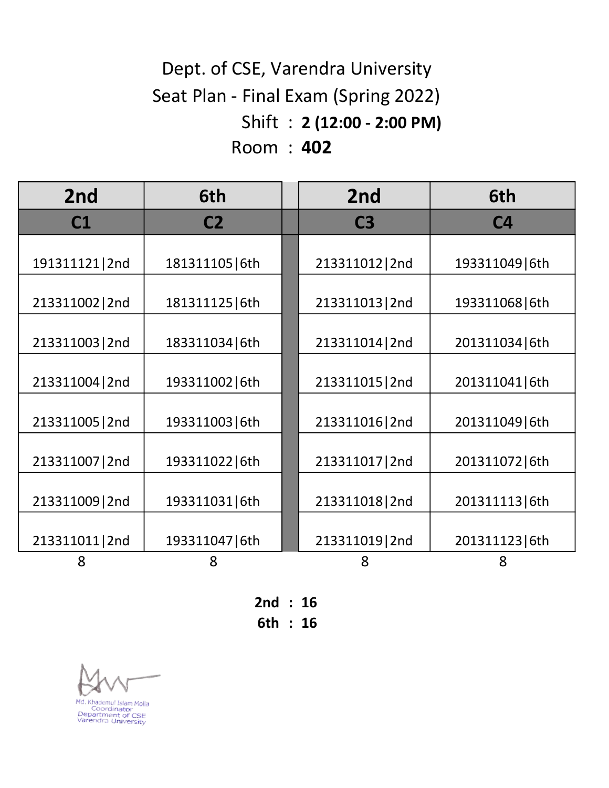# Shift : 2 (12:00 - 2:00 PM) Room : 402 Dept. of CSE, Varendra University Seat Plan - Final Exam (Spring 2022)

| 2nd             | 6th             | 2nd             | 6th             |
|-----------------|-----------------|-----------------|-----------------|
| C1              | C <sub>2</sub>  | C <sub>3</sub>  | C <sub>4</sub>  |
| 191311121 2nd   | 181311105   6th | 213311012   2nd | 193311049   6th |
| 213311002   2nd | 181311125   6th | 213311013   2nd | 193311068   6th |
| 213311003   2nd | 183311034   6th | 213311014   2nd | 201311034   6th |
| 213311004   2nd | 193311002   6th | 213311015   2nd | 201311041   6th |
| 213311005   2nd | 193311003   6th | 213311016 2nd   | 201311049   6th |
| 213311007   2nd | 193311022   6th | 213311017   2nd | 201311072   6th |
| 213311009   2nd | 193311031   6th | 213311018 2nd   | 201311113 6th   |
| 213311011 2nd   | 193311047   6th | 213311019 2nd   | 201311123   6th |
| 8               | 8               | 8               | 8               |

2nd : 16

6th : 16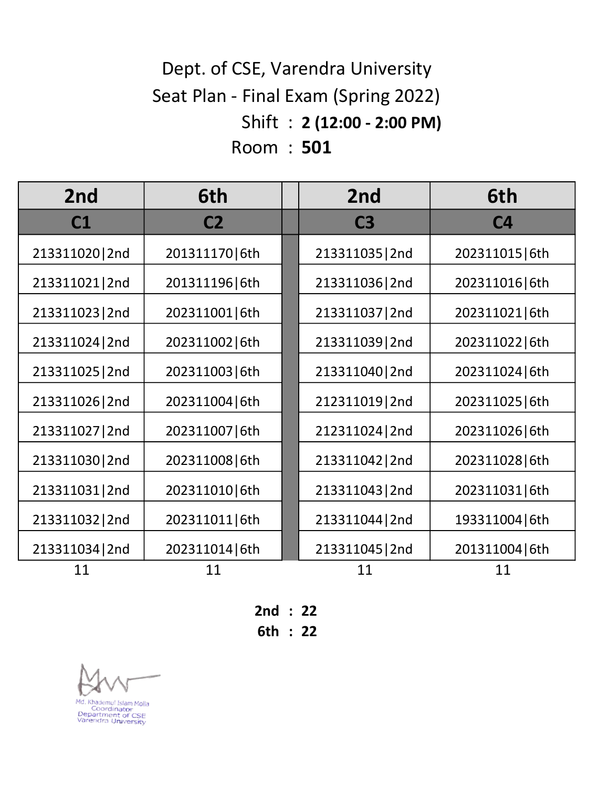# Shift : 2 (12:00 - 2:00 PM) Room : 501 Dept. of CSE, Varendra University Seat Plan - Final Exam (Spring 2022)

| 2 <sub>nd</sub> | 6th             | 2nd             | 6th             |
|-----------------|-----------------|-----------------|-----------------|
| C <sub>1</sub>  | C <sub>2</sub>  | C <sub>3</sub>  | C <sub>4</sub>  |
| 213311020 2nd   | 201311170 6th   | 213311035   2nd | 202311015   6th |
| 213311021 2nd   | 201311196 6th   | 213311036 2nd   | 202311016 6th   |
| 213311023   2nd | 202311001   6th | 213311037   2nd | 202311021   6th |
| 213311024 2nd   | 202311002   6th | 213311039 2nd   | 202311022   6th |
| 213311025   2nd | 202311003   6th | 213311040   2nd | 202311024   6th |
| 213311026 2nd   | 202311004   6th | 212311019 2nd   | 202311025   6th |
| 213311027   2nd | 202311007   6th | 212311024   2nd | 202311026 6th   |
| 213311030 2nd   | 202311008   6th | 213311042   2nd | 202311028 6th   |
| 213311031 2nd   | 202311010 6th   | 213311043   2nd | 202311031   6th |
| 213311032   2nd | 202311011   6th | 213311044 2nd   | 193311004   6th |
| 213311034 2nd   | 202311014   6th | 213311045   2nd | 201311004   6th |
| 11              | 11              | 11              | 11              |

2nd : 22

6th : 22

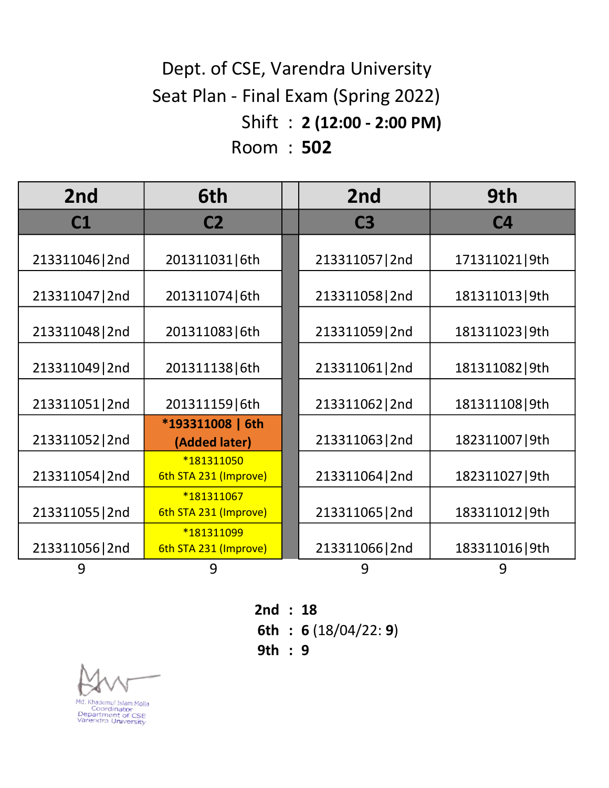# Shift : 2 (12:00 - 2:00 PM) Room : 502 Dept. of CSE, Varendra University Seat Plan - Final Exam (Spring 2022)

| 2nd             | 6th                                 | 2 <sub>nd</sub> | 9th             |
|-----------------|-------------------------------------|-----------------|-----------------|
| C1              | C <sub>2</sub>                      | C <sub>3</sub>  | C <sub>4</sub>  |
| 213311046   2nd | 201311031   6th                     | 213311057   2nd | 171311021 9th   |
| 213311047   2nd | 201311074 6th                       | 213311058 2nd   | 181311013 9th   |
| 213311048 2nd   | 201311083   6th                     | 213311059   2nd | 181311023 9th   |
| 213311049   2nd | 201311138 6th                       | 213311061   2nd | 181311082   9th |
| 213311051 2nd   | 201311159 6th                       | 213311062   2nd | 181311108 9th   |
| 213311052   2nd | *193311008   6th<br>(Added later)   | 213311063   2nd | 182311007   9th |
| 213311054   2nd | *181311050<br>6th STA 231 (Improve) | 213311064 2nd   | 182311027   9th |
| 213311055   2nd | *181311067<br>6th STA 231 (Improve) | 213311065   2nd | 183311012   9th |
| 213311056 2nd   | *181311099<br>6th STA 231 (Improve) | 213311066   2nd | 183311016   9th |
| 9               | 9                                   | 9               | 9               |

2nd : 18

6th : 6 (18/04/22: 9)

9th : 9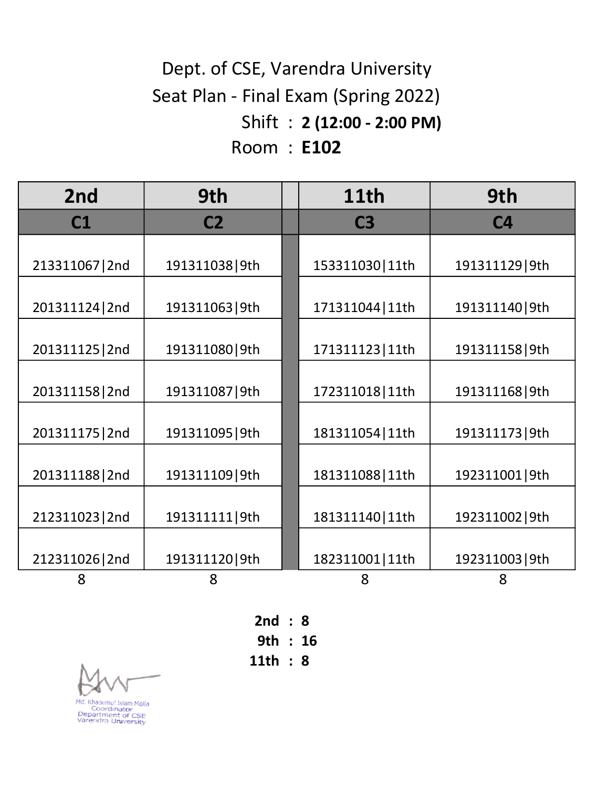# Shift : 2 (12:00 - 2:00 PM) Room : E102 Seat Plan - Final Exam (Spring 2022) Dept. of CSE, Varendra University

| 2 <sub>nd</sub> | 9th             | <b>11th</b>      | 9th             |
|-----------------|-----------------|------------------|-----------------|
| C1              | C <sub>2</sub>  | C <sub>3</sub>   | C <sub>4</sub>  |
|                 |                 |                  |                 |
| 213311067   2nd | 191311038 9th   | 153311030 11th   | 191311129 9th   |
| 201311124   2nd | 191311063   9th | 171311044   11th | 191311140   9th |
| 201311125   2nd | 191311080 9th   | 171311123 11th   | 191311158 9th   |
| 201311158 2nd   | 191311087   9th | 172311018 11th   | 191311168 9th   |
| 201311175   2nd | 191311095   9th | 181311054   11th | 191311173   9th |
| 201311188 2nd   | 191311109 9th   | 181311088 11th   | 192311001   9th |
| 212311023   2nd | 191311111 9th   | 181311140   11th | 192311002   9th |
| 212311026 2nd   | 191311120 9th   | 182311001   11th | 192311003   9th |
| 8               | 8               | 8                | 8               |

2nd : 8 9th : 16 11th : 8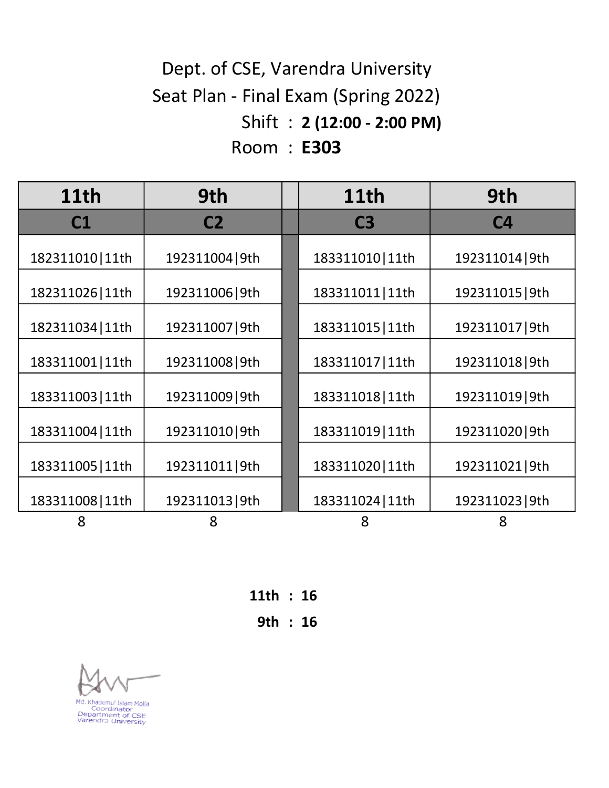# Shift : 2 (12:00 - 2:00 PM) Room : E303 Dept. of CSE, Varendra University Seat Plan - Final Exam (Spring 2022)

| 11th             | 9th             | 11th             | 9th             |
|------------------|-----------------|------------------|-----------------|
| C1               | C <sub>2</sub>  | C <sub>3</sub>   | C <sub>4</sub>  |
| 182311010 11th   | 192311004   9th | 183311010   11th | 192311014 9th   |
| 182311026 11th   | 192311006   9th | 183311011   11th | 192311015   9th |
| 182311034   11th | 192311007   9th | 183311015   11th | 192311017   9th |
| 183311001   11th | 192311008 9th   | 183311017   11th | 192311018 9th   |
| 183311003   11th | 192311009   9th | 183311018 11th   | 192311019 9th   |
| 183311004   11th | 192311010 9th   | 183311019   11th | 192311020 9th   |
| 183311005   11th | 192311011 9th   | 183311020   11th | 192311021 9th   |
| 183311008   11th | 192311013   9th | 183311024   11th | 192311023   9th |
| 8                | 8               | 8                | 8               |

11th : 16

9th : 16